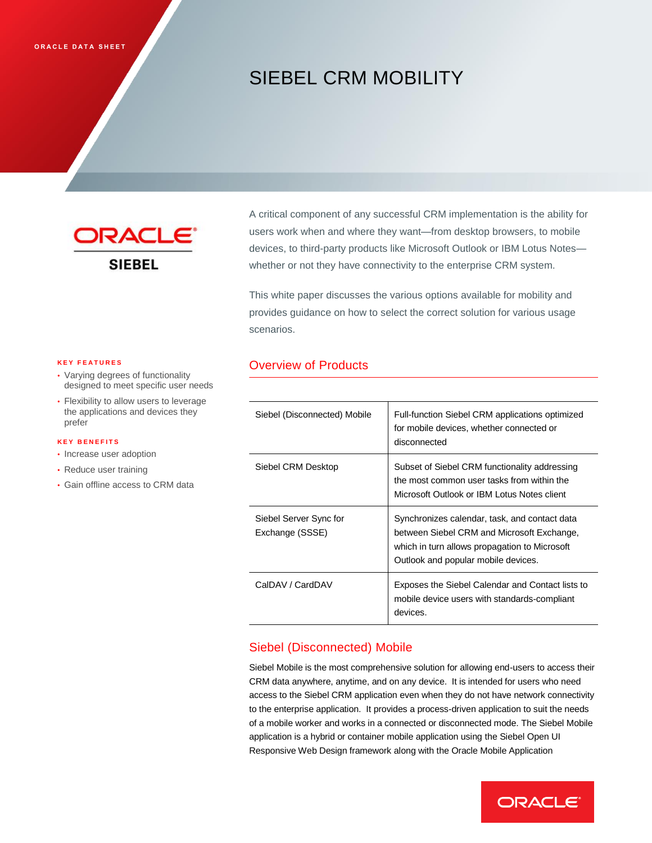# SIEBEL CRM MOBILITY



A critical component of any successful CRM implementation is the ability for users work when and where they want—from desktop browsers, to mobile devices, to third-party products like Microsoft Outlook or IBM Lotus Notes whether or not they have connectivity to the enterprise CRM system.

This white paper discusses the various options available for mobility and provides guidance on how to select the correct solution for various usage scenarios.

# Overview of Products

| Siebel (Disconnected) Mobile              | Full-function Siebel CRM applications optimized<br>for mobile devices, whether connected or<br>disconnected                                                                         |
|-------------------------------------------|-------------------------------------------------------------------------------------------------------------------------------------------------------------------------------------|
| Siebel CRM Desktop                        | Subset of Siebel CRM functionality addressing<br>the most common user tasks from within the<br>Microsoft Outlook or IBM Lotus Notes client                                          |
| Siebel Server Sync for<br>Exchange (SSSE) | Synchronizes calendar, task, and contact data<br>between Siebel CRM and Microsoft Exchange,<br>which in turn allows propagation to Microsoft<br>Outlook and popular mobile devices. |
| CalDAV / CardDAV                          | Exposes the Siebel Calendar and Contact lists to<br>mobile device users with standards-compliant<br>devices.                                                                        |

# Siebel (Disconnected) Mobile

Siebel Mobile is the most comprehensive solution for allowing end-users to access their CRM data anywhere, anytime, and on any device. It is intended for users who need access to the Siebel CRM application even when they do not have network connectivity to the enterprise application. It provides a process-driven application to suit the needs of a mobile worker and works in a connected or disconnected mode. The Siebel Mobile application is a hybrid or container mobile application using the Siebel Open UI Responsive Web Design framework along with the Oracle Mobile Application



#### **K E Y F E A T U R E S**

- Varying degrees of functionality designed to meet specific user needs
- Flexibility to allow users to leverage the applications and devices they prefer

#### **K E Y B E N E F I T S**

- Increase user adoption
- Reduce user training
- Gain offline access to CRM data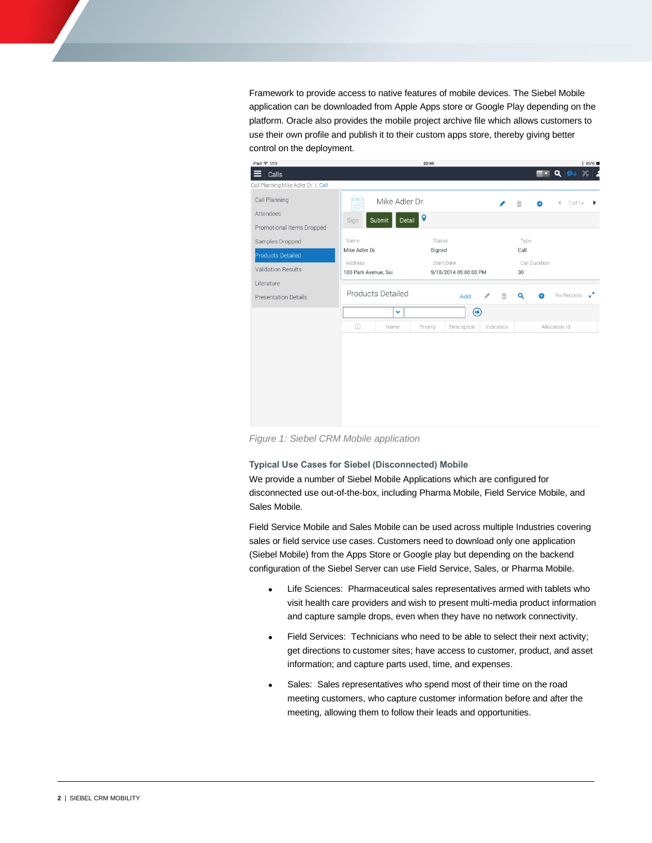Framework to provide access to native features of mobile devices. The Siebel Mobile application can be downloaded from Apple Apps store or Google Play depending on the platform. Oracle also provides the mobile project archive file which allows customers to use their own profile and publish it to their custom apps store, thereby giving better control on the deployment.



*Figure 1: Siebel CRM Mobile application*

**Typical Use Cases for Siebel (Disconnected) Mobile**

We provide a number of Siebel Mobile Applications which are configured for disconnected use out-of-the-box, including Pharma Mobile, Field Service Mobile, and Sales Mobile.

Field Service Mobile and Sales Mobile can be used across multiple Industries covering sales or field service use cases. Customers need to download only one application (Siebel Mobile) from the Apps Store or Google play but depending on the backend configuration of the Siebel Server can use Field Service, Sales, or Pharma Mobile.

- Life Sciences: Pharmaceutical sales representatives armed with tablets who visit health care providers and wish to present multi-media product information and capture sample drops, even when they have no network connectivity.
- Field Services: Technicians who need to be able to select their next activity; get directions to customer sites; have access to customer, product, and asset information; and capture parts used, time, and expenses.
- Sales: Sales representatives who spend most of their time on the road meeting customers, who capture customer information before and after the meeting, allowing them to follow their leads and opportunities.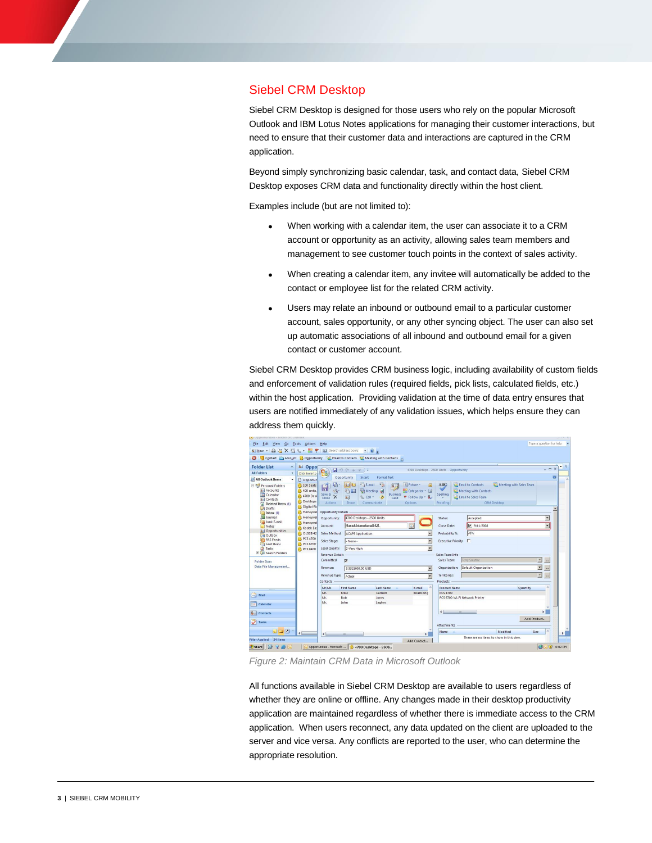### Siebel CRM Desktop

Siebel CRM Desktop is designed for those users who rely on the popular Microsoft Outlook and IBM Lotus Notes applications for managing their customer interactions, but need to ensure that their customer data and interactions are captured in the CRM application.

Beyond simply synchronizing basic calendar, task, and contact data, Siebel CRM Desktop exposes CRM data and functionality directly within the host client.

Examples include (but are not limited to):

- When working with a calendar item, the user can associate it to a CRM account or opportunity as an activity, allowing sales team members and management to see customer touch points in the context of sales activity.
- When creating a calendar item, any invitee will automatically be added to the contact or employee list for the related CRM activity.
- Users may relate an inbound or outbound email to a particular customer account, sales opportunity, or any other syncing object. The user can also set up automatic associations of all inbound and outbound email for a given contact or customer account.

Siebel CRM Desktop provides CRM business logic, including availability of custom fields and enforcement of validation rules (required fields, pick lists, calculated fields, etc.) within the host application. Providing validation at the time of data entry ensures that users are notified immediately of any validation issues, which helps ensure they can address them quickly.



*Figure 2: Maintain CRM Data in Microsoft Outlook*

All functions available in Siebel CRM Desktop are available to users regardless of whether they are online or offline. Any changes made in their desktop productivity application are maintained regardless of whether there is immediate access to the CRM application. When users reconnect, any data updated on the client are uploaded to the server and vice versa. Any conflicts are reported to the user, who can determine the appropriate resolution.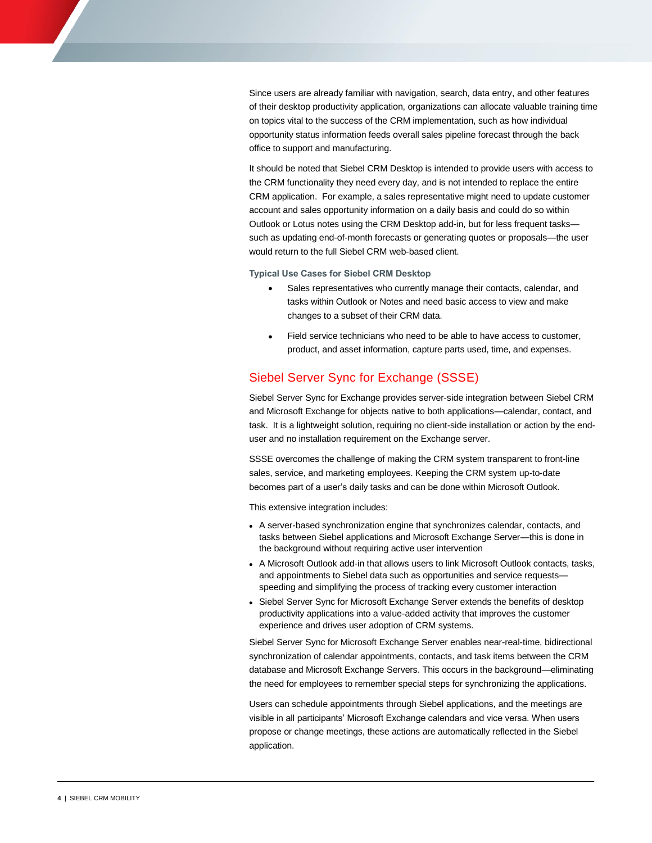Since users are already familiar with navigation, search, data entry, and other features of their desktop productivity application, organizations can allocate valuable training time on topics vital to the success of the CRM implementation, such as how individual opportunity status information feeds overall sales pipeline forecast through the back office to support and manufacturing.

It should be noted that Siebel CRM Desktop is intended to provide users with access to the CRM functionality they need every day, and is not intended to replace the entire CRM application. For example, a sales representative might need to update customer account and sales opportunity information on a daily basis and could do so within Outlook or Lotus notes using the CRM Desktop add-in, but for less frequent tasks such as updating end-of-month forecasts or generating quotes or proposals—the user would return to the full Siebel CRM web-based client.

**Typical Use Cases for Siebel CRM Desktop**

- Sales representatives who currently manage their contacts, calendar, and tasks within Outlook or Notes and need basic access to view and make changes to a subset of their CRM data.
- Field service technicians who need to be able to have access to customer, product, and asset information, capture parts used, time, and expenses.

## Siebel Server Sync for Exchange (SSSE)

Siebel Server Sync for Exchange provides server-side integration between Siebel CRM and Microsoft Exchange for objects native to both applications—calendar, contact, and task. It is a lightweight solution, requiring no client-side installation or action by the enduser and no installation requirement on the Exchange server.

SSSE overcomes the challenge of making the CRM system transparent to front-line sales, service, and marketing employees. Keeping the CRM system up-to-date becomes part of a user's daily tasks and can be done within Microsoft Outlook.

This extensive integration includes:

- A server-based synchronization engine that synchronizes calendar, contacts, and tasks between Siebel applications and Microsoft Exchange Server—this is done in the background without requiring active user intervention
- A Microsoft Outlook add-in that allows users to link Microsoft Outlook contacts, tasks, and appointments to Siebel data such as opportunities and service requests speeding and simplifying the process of tracking every customer interaction
- Siebel Server Sync for Microsoft Exchange Server extends the benefits of desktop productivity applications into a value-added activity that improves the customer experience and drives user adoption of CRM systems.

Siebel Server Sync for Microsoft Exchange Server enables near-real-time, bidirectional synchronization of calendar appointments, contacts, and task items between the CRM database and Microsoft Exchange Servers. This occurs in the background—eliminating the need for employees to remember special steps for synchronizing the applications.

Users can schedule appointments through Siebel applications, and the meetings are visible in all participants' Microsoft Exchange calendars and vice versa. When users propose or change meetings, these actions are automatically reflected in the Siebel application.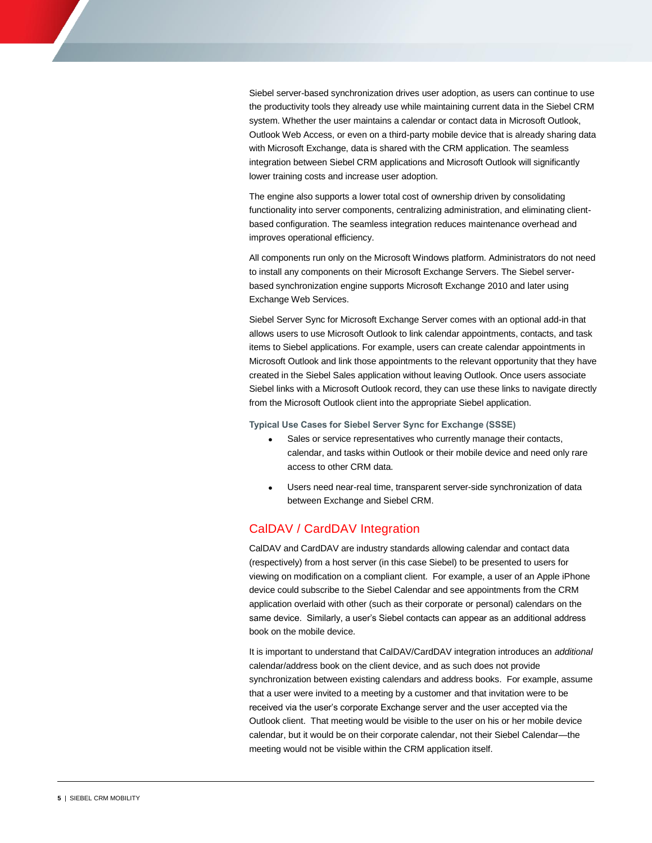Siebel server-based synchronization drives user adoption, as users can continue to use the productivity tools they already use while maintaining current data in the Siebel CRM system. Whether the user maintains a calendar or contact data in Microsoft Outlook, Outlook Web Access, or even on a third-party mobile device that is already sharing data with Microsoft Exchange, data is shared with the CRM application. The seamless integration between Siebel CRM applications and Microsoft Outlook will significantly lower training costs and increase user adoption.

The engine also supports a lower total cost of ownership driven by consolidating functionality into server components, centralizing administration, and eliminating clientbased configuration. The seamless integration reduces maintenance overhead and improves operational efficiency.

All components run only on the Microsoft Windows platform. Administrators do not need to install any components on their Microsoft Exchange Servers. The Siebel serverbased synchronization engine supports Microsoft Exchange 2010 and later using Exchange Web Services.

Siebel Server Sync for Microsoft Exchange Server comes with an optional add-in that allows users to use Microsoft Outlook to link calendar appointments, contacts, and task items to Siebel applications. For example, users can create calendar appointments in Microsoft Outlook and link those appointments to the relevant opportunity that they have created in the Siebel Sales application without leaving Outlook. Once users associate Siebel links with a Microsoft Outlook record, they can use these links to navigate directly from the Microsoft Outlook client into the appropriate Siebel application.

**Typical Use Cases for Siebel Server Sync for Exchange (SSSE)**

- Sales or service representatives who currently manage their contacts, calendar, and tasks within Outlook or their mobile device and need only rare access to other CRM data.
- Users need near-real time, transparent server-side synchronization of data between Exchange and Siebel CRM.

### CalDAV / CardDAV Integration

CalDAV and CardDAV are industry standards allowing calendar and contact data (respectively) from a host server (in this case Siebel) to be presented to users for viewing on modification on a compliant client. For example, a user of an Apple iPhone device could subscribe to the Siebel Calendar and see appointments from the CRM application overlaid with other (such as their corporate or personal) calendars on the same device. Similarly, a user's Siebel contacts can appear as an additional address book on the mobile device.

It is important to understand that CalDAV/CardDAV integration introduces an *additional* calendar/address book on the client device, and as such does not provide synchronization between existing calendars and address books. For example, assume that a user were invited to a meeting by a customer and that invitation were to be received via the user's corporate Exchange server and the user accepted via the Outlook client. That meeting would be visible to the user on his or her mobile device calendar, but it would be on their corporate calendar, not their Siebel Calendar—the meeting would not be visible within the CRM application itself.